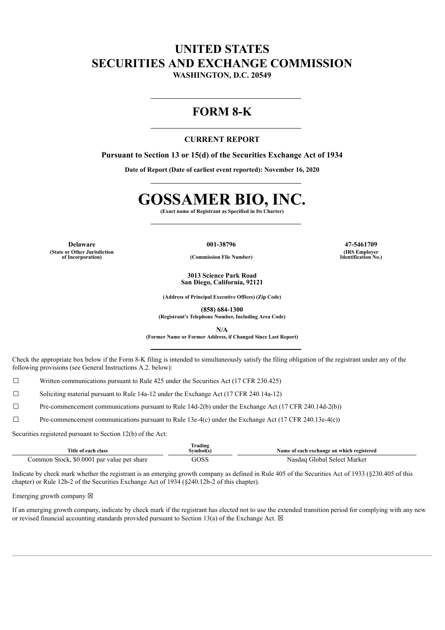## **UNITED STATES SECURITIES AND EXCHANGE COMMISSION**

**WASHINGTON, D.C. 20549**

### **FORM 8-K**

### **CURRENT REPORT**

**Pursuant to Section 13 or 15(d) of the Securities Exchange Act of 1934**

**Date of Report (Date of earliest event reported): November 16, 2020**

# **GOSSAMER BIO, INC.**

**(Exact name of Registrant as Specified in Its Charter)**

**Delaware 001-38796 47-5461709 (State or Other Jurisdiction**

**of Incorporation) (Commission File Number)**

**3013 Science Park Road San Diego, California, 92121**

**(Address of Principal Executive Offices) (Zip Code)**

**(858) 684-1300**

**(Registrant's Telephone Number, Including Area Code)**

**N/A**

**(Former Name or Former Address, if Changed Since Last Report)**

Check the appropriate box below if the Form 8-K filing is intended to simultaneously satisfy the filing obligation of the registrant under any of the following provisions (see General Instructions A.2. below):

☐ Written communications pursuant to Rule 425 under the Securities Act (17 CFR 230.425)

☐ Soliciting material pursuant to Rule 14a-12 under the Exchange Act (17 CFR 240.14a-12)

☐ Pre-commencement communications pursuant to Rule 14d-2(b) under the Exchange Act (17 CFR 240.14d-2(b))

 $\Box$  Pre-commencement communications pursuant to Rule 13e-4(c) under the Exchange Act (17 CFR 240.13e-4(c))

Securities registered pursuant to Section 12(b) of the Act:

| Title of each class                                | Trading<br>Svmbol(s) | Name of each exchange on which registered |
|----------------------------------------------------|----------------------|-------------------------------------------|
| \$0.0001 par value per share<br>. Stock.<br>.ommon | GOSS                 | Global Select Market<br>Nasdag            |

Indicate by check mark whether the registrant is an emerging growth company as defined in Rule 405 of the Securities Act of 1933 (§230.405 of this chapter) or Rule 12b-2 of the Securities Exchange Act of 1934 (§240.12b-2 of this chapter).

Emerging growth company  $\boxtimes$ 

If an emerging growth company, indicate by check mark if the registrant has elected not to use the extended transition period for complying with any new or revised financial accounting standards provided pursuant to Section 13(a) of the Exchange Act.  $\boxtimes$ 

**(IRS Employer Identification No.)**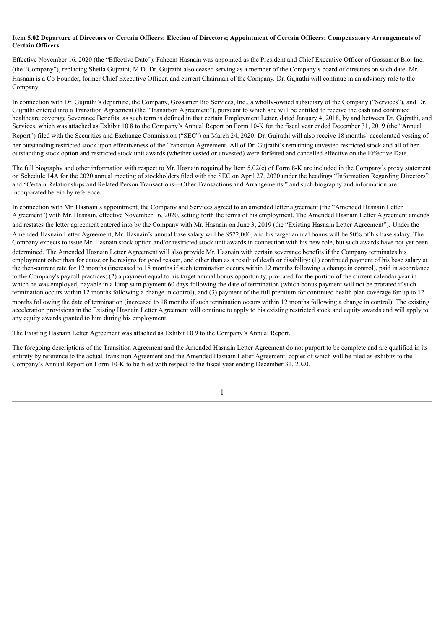### Item 5.02 Departure of Directors or Certain Officers; Election of Directors; Appointment of Certain Officers; Compensatory Arrangements of **Certain Officers.**

Effective November 16, 2020 (the "Effective Date"), Faheem Hasnain was appointed as the President and Chief Executive Officer of Gossamer Bio, Inc. (the "Company"), replacing Sheila Gujrathi, M.D. Dr. Gujrathi also ceased serving as a member of the Company's board of directors on such date. Mr. Hasnain is a Co-Founder, former Chief Executive Officer, and current Chairman of the Company. Dr. Gujrathi will continue in an advisory role to the Company.

In connection with Dr. Gujrathi's departure, the Company, Gossamer Bio Services, Inc., a wholly-owned subsidiary of the Company ("Services"), and Dr. Gujrathi entered into a Transition Agreement (the "Transition Agreement"), pursuant to which she will be entitled to receive the cash and continued healthcare coverage Severance Benefits, as such term is defined in that certain Employment Letter, dated January 4, 2018, by and between Dr. Gujrathi, and Services, which was attached as Exhibit 10.8 to the Company's Annual Report on Form 10-K for the fiscal year ended December 31, 2019 (the "Annual Report") filed with the Securities and Exchange Commission ("SEC") on March 24, 2020. Dr. Gujrathi will also receive 18 months' accelerated vesting of her outstanding restricted stock upon effectiveness of the Transition Agreement. All of Dr. Gujrathi's remaining unvested restricted stock and all of her outstanding stock option and restricted stock unit awards (whether vested or unvested) were forfeited and cancelled effective on the Effective Date.

The full biography and other information with respect to Mr. Hasnain required by Item 5.02(c) of Form 8-K are included in the Company's proxy statement on Schedule 14A for the 2020 annual meeting of stockholders filed with the SEC on April 27, 2020 under the headings "Information Regarding Directors" and "Certain Relationships and Related Person Transactions—Other Transactions and Arrangements," and such biography and information are incorporated herein by reference.

In connection with Mr. Hasnain's appointment, the Company and Services agreed to an amended letter agreement (the "Amended Hasnain Letter Agreement") with Mr. Hasnain, effective November 16, 2020, setting forth the terms of his employment. The Amended Hasnain Letter Agreement amends and restates the letter agreement entered into by the Company with Mr. Hasnain on June 3, 2019 (the "Existing Hasnain Letter Agreement"). Under the Amended Hasnain Letter Agreement, Mr. Hasnain's annual base salary will be \$572,000, and his target annual bonus will be 50% of his base salary. The Company expects to issue Mr. Hasnain stock option and/or restricted stock unit awards in connection with his new role, but such awards have not yet been determined. The Amended Hasnain Letter Agreement will also provide Mr. Hasnain with certain severance benefits if the Company terminates his employment other than for cause or he resigns for good reason, and other than as a result of death or disability: (1) continued payment of his base salary at the then-current rate for 12 months (increased to 18 months if such termination occurs within 12 months following a change in control), paid in accordance to the Company's payroll practices; (2) a payment equal to his target annual bonus opportunity, pro-rated for the portion of the current calendar year in which he was employed, payable in a lump sum payment 60 days following the date of termination (which bonus payment will not be prorated if such termination occurs within 12 months following a change in control); and (3) payment of the full premium for continued health plan coverage for up to 12 months following the date of termination (increased to 18 months if such termination occurs within 12 months following a change in control). The existing acceleration provisions in the Existing Hasnain Letter Agreement will continue to apply to his existing restricted stock and equity awards and will apply to any equity awards granted to him during his employment.

The Existing Hasnain Letter Agreement was attached as Exhibit 10.9 to the Company's Annual Report.

The foregoing descriptions of the Transition Agreement and the Amended Hasnain Letter Agreement do not purport to be complete and are qualified in its entirety by reference to the actual Transition Agreement and the Amended Hasnain Letter Agreement, copies of which will be filed as exhibits to the Company's Annual Report on Form 10-K to be filed with respect to the fiscal year ending December 31, 2020.

1